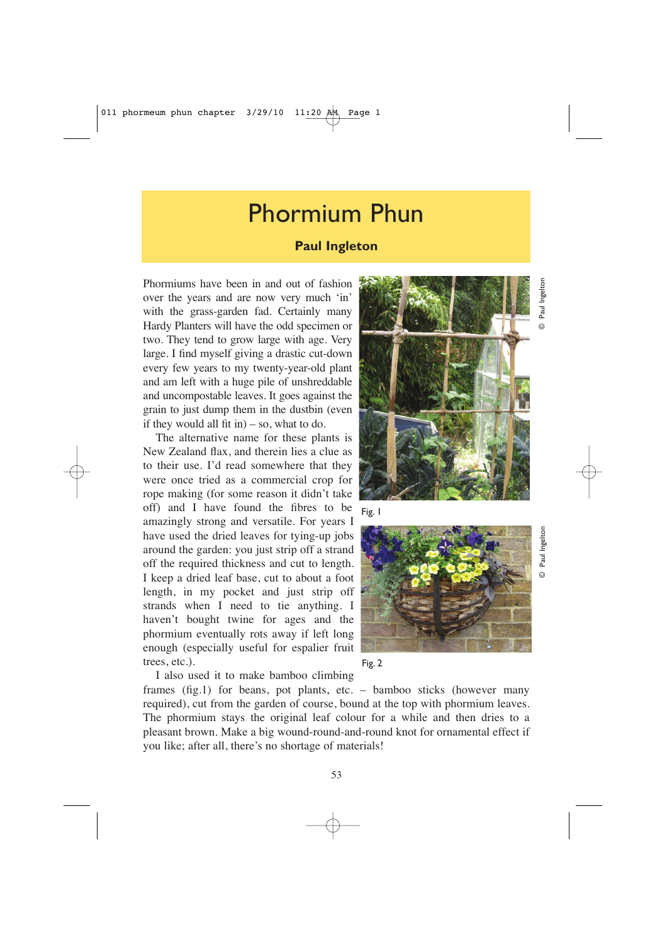## Phormium Phun

## **Paul Ingleton**

Phormiums have been in and out of fashion over the years and are now very much 'in' with the grass-garden fad. Certainly many Hardy Planters will have the odd specimen or two. They tend to grow large with age. Very large. I find myself giving a drastic cut-down every few years to my twenty-year-old plant and am left with a huge pile of unshreddable and uncompostable leaves. It goes against the grain to just dump them in the dustbin (even if they would all fit in $) -$ so, what to do.

The alternative name for these plants is New Zealand flax, and therein lies a clue as to their use. I'd read somewhere that they were once tried as a commercial crop for rope making (for some reason it didn't take off) and I have found the fibres to be amazingly strong and versatile. For years I have used the dried leaves for tying-up jobs around the garden: you just strip off a strand off the required thickness and cut to length. I keep a dried leaf base, cut to about a foot length, in my pocket and just strip off strands when I need to tie anything. I haven't bought twine for ages and the phormium eventually rots away if left long trees, etc.).

enough (especially useful for espalier fruit I also used it to make bamboo climbing









© Paul Ingelton

 $\odot$ 

Paul Ingelton

© Paul Ingelton

 $\odot$ 

Paul Ingelton